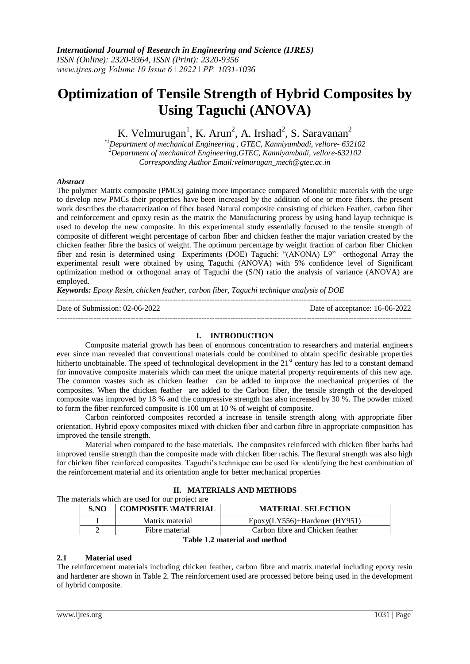# **Optimization of Tensile Strength of Hybrid Composites by Using Taguchi (ANOVA)**

K. Velmurugan<sup>1</sup>, K. Arun<sup>2</sup>, A. Irshad<sup>2</sup>, S. Saravanan<sup>2</sup>

*\*1Department of mechanical Engineering , GTEC, Kanniyambadi, vellore- 632102 <sup>2</sup>Department of mechanical Engineering,GTEC, Kanniyambadi, vellore-632102 Corresponding Author Email:velmurugan\_mech@gtec.ac.in*

## *Abstract*

The polymer Matrix composite (PMCs) gaining more importance compared Monolithic materials with the urge to develop new PMCs their properties have been increased by the addition of one or more fibers. the present work describes the characterization of fiber based Natural composite consisting of chicken Feather, carbon fiber and reinforcement and epoxy resin as the matrix the Manufacturing process by using hand layup technique is used to develop the new composite. In this experimental study essentially focused to the tensile strength of composite of different weight percentage of carbon fiber and chicken feather the major variation created by the chicken feather fibre the basics of weight. The optimum percentage by weight fraction of carbon fiber Chicken fiber and resin is determined using Experiments (DOE) Taguchi: "(ANONA) L9" orthogonal Array the experimental result were obtained by using Taguchi (ANOVA) with 5% confidence level of Significant optimization method or orthogonal array of Taguchi the (S/N) ratio the analysis of variance (ANOVA) are employed.

*Keywords: Epoxy Resin, chicken feather, carbon fiber, Taguchi technique analysis of DOE* 

---------------------------------------------------------------------------------------------------------------------------------------

Date of Submission: 02-06-2022 Date of acceptance: 16-06-2022

## **I. INTRODUCTION**

---------------------------------------------------------------------------------------------------------------------------------------

Composite material growth has been of enormous concentration to researchers and material engineers ever since man revealed that conventional materials could be combined to obtain specific desirable properties hitherto unobtainable. The speed of technological development in the 21<sup>st</sup> century has led to a constant demand for innovative composite materials which can meet the unique material property requirements of this new age. The common wastes such as chicken feather can be added to improve the mechanical properties of the composites. When the chicken feather are added to the Carbon fiber, the tensile strength of the developed composite was improved by 18 % and the compressive strength has also increased by 30 %. The powder mixed to form the fiber reinforced composite is 100 um at 10 % of weight of composite.

Carbon reinforced composites recorded a increase in tensile strength along with appropriate fiber orientation. Hybrid epoxy composites mixed with chicken fiber and carbon fibre in appropriate composition has improved the tensile strength.

Material when compared to the base materials. The composites reinforced with chicken fiber barbs had improved tensile strength than the composite made with chicken fiber rachis. The flexural strength was also high for chicken fiber reinforced composites. Taguchi's technique can be used for identifying the best combination of the reinforcement material and its orientation angle for better mechanical properties

|  | II. MATERIALS AND METHODS |
|--|---------------------------|
|--|---------------------------|

The materials which are used for our project are

| S.NO                          | <b>COMPOSITE \MATERIAL</b> | <b>MATERIAL SELECTION</b>         |  |  |  |
|-------------------------------|----------------------------|-----------------------------------|--|--|--|
|                               | Matrix material            | $Epoxy(LY556) + Hardener$ (HY951) |  |  |  |
|                               | Fibre material             | Carbon fibre and Chicken feather  |  |  |  |
| Toble 1.2 motorial and mothed |                            |                                   |  |  |  |

## **Table 1.2 material and method**

## **2.1 Material used**

The reinforcement materials including chicken feather, carbon fibre and matrix material including epoxy resin and hardener are shown in Table 2. The reinforcement used are processed before being used in the development of hybrid composite.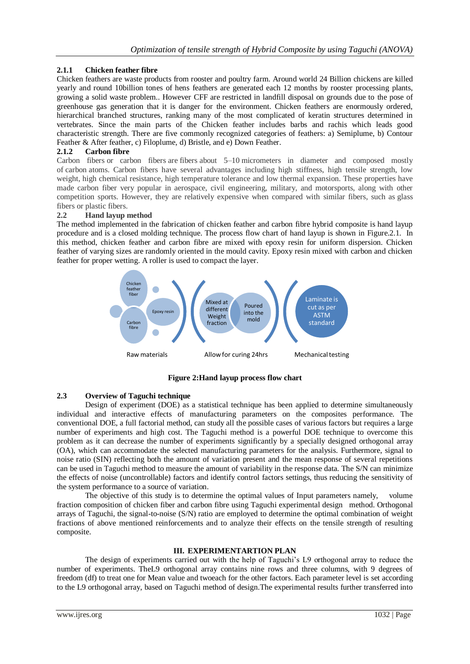## **2.1.1 Chicken feather fibre**

Chicken feathers are waste products from rooster and poultry farm. Around world 24 Billion chickens are killed yearly and round 10billion tones of hens feathers are generated each 12 months by rooster processing plants, growing a solid waste problem.. However CFF are restricted in landfill disposal on grounds due to the pose of greenhouse gas generation that it is danger for the environment. Chicken feathers are enormously ordered, hierarchical branched structures, ranking many of the most complicated of keratin structures determined in vertebrates. Since the main parts of the Chicken feather includes barbs and rachis which leads good characteristic strength. There are five commonly recognized categories of feathers: a) Semiplume, b) Contour Feather & After feather, c) Filoplume, d) Bristle, and e) Down Feather.

## **2.1.2 Carbon fibre**

Carbon fibers or carbon fibers are fibers about 5–10 micrometers in diameter and composed mostly of carbon atoms. Carbon fibers have several advantages including high stiffness, high tensile strength, low weight, high chemical resistance, high temperature tolerance and low thermal expansion. These properties have made carbon fiber very popular in aerospace, civil engineering, military, and motorsports, along with other competition sports. However, they are relatively expensive when compared with similar fibers, such as glass fibers or plastic fibers.

## **2.2 Hand layup method**

The method implemented in the fabrication of chicken feather and carbon fibre hybrid composite is hand layup procedure and is a closed molding technique. The process flow chart of hand layup is shown in Figure.2.1. In this method, chicken feather and carbon fibre are mixed with epoxy resin for uniform dispersion. Chicken feather of varying sizes are randomly oriented in the mould cavity. Epoxy resin mixed with carbon and chicken feather for proper wetting. A roller is used to compact the layer.



**Figure 2:Hand layup process flow chart**

## **2.3 Overview of Taguchi technique**

Design of experiment (DOE) as a statistical technique has been applied to determine simultaneously individual and interactive effects of manufacturing parameters on the composites performance. The conventional DOE, a full factorial method, can study all the possible cases of various factors but requires a large number of experiments and high cost. The Taguchi method is a powerful DOE technique to overcome this problem as it can decrease the number of experiments significantly by a specially designed orthogonal array (OA), which can accommodate the selected manufacturing parameters for the analysis. Furthermore, signal to noise ratio (SIN) reflecting both the amount of variation present and the mean response of several repetitions can be used in Taguchi method to measure the amount of variability in the response data. The S/N can minimize the effects of noise (uncontrollable) factors and identify control factors settings, thus reducing the sensitivity of the system performance to a source of variation.

The objective of this study is to determine the optimal values of Input parameters namely, volume fraction composition of chicken fiber and carbon fibre using Taguchi experimental design method. Orthogonal arrays of Taguchi, the signal-to-noise (S/N) ratio are employed to determine the optimal combination of weight fractions of above mentioned reinforcements and to analyze their effects on the tensile strength of resulting composite.

## **III. EXPERIMENTARTION PLAN**

The design of experiments carried out with the help of Taguchi's L9 orthogonal array to reduce the number of experiments. TheL9 orthogonal array contains nine rows and three columns, with 9 degrees of freedom (df) to treat one for Mean value and twoeach for the other factors. Each parameter level is set according to the L9 orthogonal array, based on Taguchi method of design.The experimental results further transferred into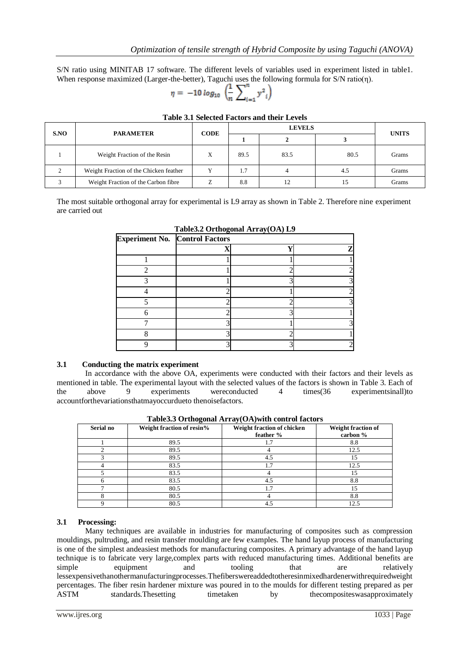S/N ratio using MINITAB 17 software. The different levels of variables used in experiment listed in table1. When response maximized (Larger-the-better), Taguchi uses the following formula for S/N ratio(η).

$$
\eta = -10 \log_{10} \left( \frac{1}{n} \sum_{i=1}^{n} y^2_{i} \right)
$$

| S.NO | <b>PARAMETER</b>                       | <b>CODE</b> |      | <b>UNITS</b> |      |       |
|------|----------------------------------------|-------------|------|--------------|------|-------|
|      |                                        |             |      |              |      |       |
|      | Weight Fraction of the Resin           | Х           | 89.5 | 83.5         | 80.5 | Grams |
|      | Weight Fraction of the Chicken feather |             | 1.7  |              | 4.5  | Grams |
|      | Weight Fraction of the Carbon fibre    |             | 8.8  |              |      | Grams |

#### **Table 3.1 Selected Factors and their Levels**

The most suitable orthogonal array for experimental is L9 array as shown in Table 2. Therefore nine experiment are carried out

| <b>Experiment No. Control Factors</b> |  |  |    |  |  |  |
|---------------------------------------|--|--|----|--|--|--|
|                                       |  |  | г. |  |  |  |
|                                       |  |  |    |  |  |  |
|                                       |  |  |    |  |  |  |
|                                       |  |  |    |  |  |  |
|                                       |  |  |    |  |  |  |
|                                       |  |  |    |  |  |  |
|                                       |  |  |    |  |  |  |
|                                       |  |  |    |  |  |  |
|                                       |  |  |    |  |  |  |
|                                       |  |  |    |  |  |  |

## **Table3.2 Orthogonal Array(OA) L9**

## **3.1 Conducting the matrix experiment**

In accordance with the above OA, experiments were conducted with their factors and their levels as mentioned in table. The experimental layout with the selected values of the factors is shown in Table 3. Each of the above 9 experiments wereconducted 4 times(36 experimentsinall)to accountforthevariationsthatmayoccurdueto thenoisefactors.

| Serial no | Weight fraction of resin% | Weight fraction of chicken<br>feather $\%$ | Weight fraction of<br>carbon % |
|-----------|---------------------------|--------------------------------------------|--------------------------------|
|           | 89.5                      | 1.7                                        | 8.8                            |
|           | 89.5                      |                                            | 12.5                           |
|           | 89.5                      | 4.5                                        | 15                             |
|           | 83.5                      |                                            | 12.5                           |
|           | 83.5                      |                                            | 15                             |
|           | 83.5                      | 4.5                                        | 8.8                            |
|           | 80.5                      | 1.7                                        | 15                             |
|           | 80.5                      |                                            | 8.8                            |
|           | 80.5                      |                                            | 12.5                           |

**Table3.3 Orthogonal Array(OA)with control factors**

## **3.1 Processing:**

Many techniques are available in industries for manufacturing of composites such as compression mouldings, pultruding, and resin transfer moulding are few examples. The hand layup process of manufacturing is one of the simplest andeasiest methods for manufacturing composites. A primary advantage of the hand layup technique is to fabricate very large,complex parts with reduced manufacturing times. Additional benefits are equipment and tooling that are relatively simple equipment and tooling that are relatively lessexpensivethanothermanufacturingprocesses.Thefiberswereaddedtotheresinmixedhardenerwithrequiredweight percentages. The fiber resin hardener mixture was poured in to the moulds for different testing prepared as per ASTM standards.Thesetting timetaken by the exponenties was approximately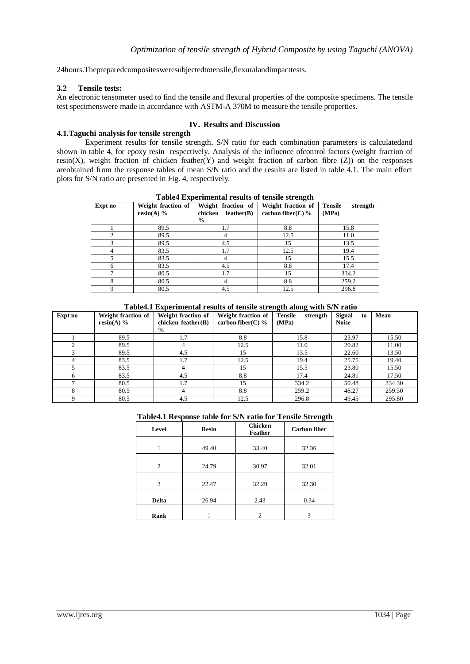24hours.Thepreparedcompositesweresubjectedtotensile,flexuralandimpacttests.

#### **3.2 Tensile tests:**

An electronic tensometer used to find the tensile and flexural properties of the composite specimens. The tensile test specimenswere made in accordance with ASTM-A 370M to measure the tensile properties.

## **IV. Results and Discussion**

## **4.1.Taguchi analysis for tensile strength**

Experiment results for tensile strength, S/N ratio for each combination parameters is calculatedand shown in table 4, for epoxy resin respectively. Analysis of the influence ofcontrol factors (weight fraction of resin(X), weight fraction of chicken feather(Y) and weight fraction of carbon fibre (Z)) on the responses areobtained from the response tables of mean S/N ratio and the results are listed in table 4.1. The main effect plots for S/N ratio are presented in Fig. 4, respectively.

|                |                                    |                                                        | -----                                      |                                     |
|----------------|------------------------------------|--------------------------------------------------------|--------------------------------------------|-------------------------------------|
| Expt no        | Weight fraction of<br>$resin(A)$ % | Weight<br>fraction of<br>chicken<br>feather(B)<br>$\%$ | Weight fraction of<br>carbon fiber(C) $\%$ | <b>Tensile</b><br>strength<br>(MPa) |
|                | 89.5                               | 1.7                                                    | 8.8                                        | 15.8                                |
| $\mathfrak{D}$ | 89.5                               |                                                        | 12.5                                       | 11.0                                |
|                | 89.5                               | 4.5                                                    | 15                                         | 13.5                                |
|                | 83.5                               | 1.7                                                    | 12.5                                       | 19.4                                |
|                | 83.5                               |                                                        | 15                                         | 15.5                                |
|                | 83.5                               | 4.5                                                    | 8.8                                        | 17.4                                |
| ⇁              | 80.5                               | 1.7                                                    | 15                                         | 334.2                               |
| 8              | 80.5                               |                                                        | 8.8                                        | 259.2                               |
| 9              | 80.5                               | 4.5                                                    | 12.5                                       | 296.8                               |

**Table4 Experimental results of tensile strength**

 **Table4.1 Experimental results of tensile strength along with S/N ratio**

| Expt no | Weight fraction of<br>resin(A) $%$ | Weight fraction of<br>chicken feather(B)<br>$\frac{1}{2}$ | Weight fraction of<br>carbon fiber(C) $\%$ | <b>Tensile</b><br>strength<br>(MPa) | <b>Signal</b><br>to<br><b>Noise</b> | Mean   |
|---------|------------------------------------|-----------------------------------------------------------|--------------------------------------------|-------------------------------------|-------------------------------------|--------|
|         | 89.5                               |                                                           | 8.8                                        | 15.8                                | 23.97                               | 15.50  |
|         | 89.5                               | 4                                                         | 12.5                                       | 11.0                                | 20.82                               | 11.00  |
| 3       | 89.5                               | 4.5                                                       | 15                                         | 13.5                                | 22.60                               | 13.50  |
|         | 83.5                               | 1.7                                                       | 12.5                                       | 19.4                                | 25.75                               | 19.40  |
|         | 83.5                               | 4                                                         | 15                                         | 15.5                                | 23.80                               | 15.50  |
| 6       | 83.5                               | 4.5                                                       | 8.8                                        | 17.4                                | 24.81                               | 17.50  |
|         | 80.5                               | 1.7                                                       | 15                                         | 334.2                               | 50.48                               | 334.30 |
| 8       | 80.5                               | 4                                                         | 8.8                                        | 259.2                               | 48.27                               | 259.50 |
|         | 80.5                               | 4.5                                                       | 12.5                                       | 296.8                               | 49.45                               | 295.80 |

#### **Table4.1 Response table for S/N ratio for Tensile Strength**

| Level          | <b>Resin</b> |       | <b>Carbon fiber</b> |  |
|----------------|--------------|-------|---------------------|--|
|                | 49.40        | 33.40 | 32.36               |  |
| $\overline{c}$ | 24.79        | 30.97 | 32.01               |  |
| 3              | 22.47        | 32.29 | 32.30               |  |
| <b>Delta</b>   | 26.94        | 2.43  | 0.34                |  |
| Rank           |              | 2     | 3                   |  |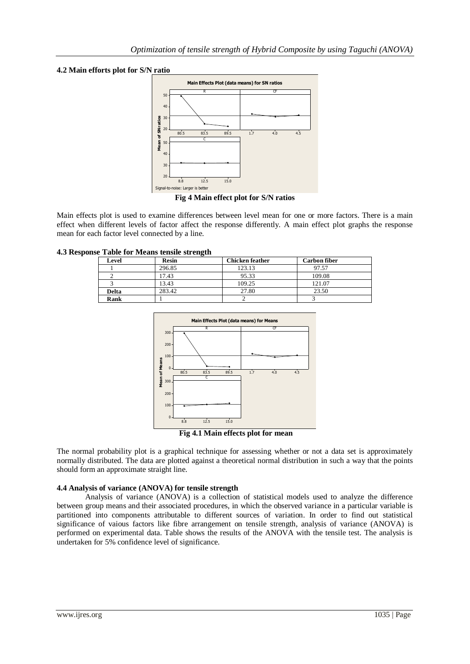## **4.2 Main efforts plot for S/N ratio**



**Fig 4 Main effect plot for S/N ratios**

Main effects plot is used to examine differences between level mean for one or more factors. There is a main effect when different levels of factor affect the response differently. A main effect plot graphs the response mean for each factor level connected by a line.

## **4.3 Response Table for Means tensile strength**

| Level        | <b>Resin</b> | <b>Chicken feather</b> | <b>Carbon fiber</b> |
|--------------|--------------|------------------------|---------------------|
|              | 296.85       | 123.13                 | 97.57               |
|              | 17.43        | 95.33                  | 109.08              |
|              | 13.43        | 109.25                 | 121.07              |
| <b>Delta</b> | 283.42       | 27.80                  | 23.50               |
| Rank         |              |                        |                     |



**Fig 4.1 Main effects plot for mean**

The normal probability plot is a graphical technique for assessing whether or not a data set is approximately normally distributed. The data are plotted against a theoretical normal distribution in such a way that the points should form an approximate straight line.

## **4.4 Analysis of variance (ANOVA) for tensile strength**

Analysis of variance (ANOVA) is a collection of statistical models used to analyze the difference between group means and their associated procedures, in which the observed variance in a particular variable is partitioned into components attributable to different sources of variation. In order to find out statistical significance of vaious factors like fibre arrangement on tensile strength, analysis of variance (ANOVA) is performed on experimental data. Table shows the results of the ANOVA with the tensile test. The analysis is undertaken for 5% confidence level of significance.